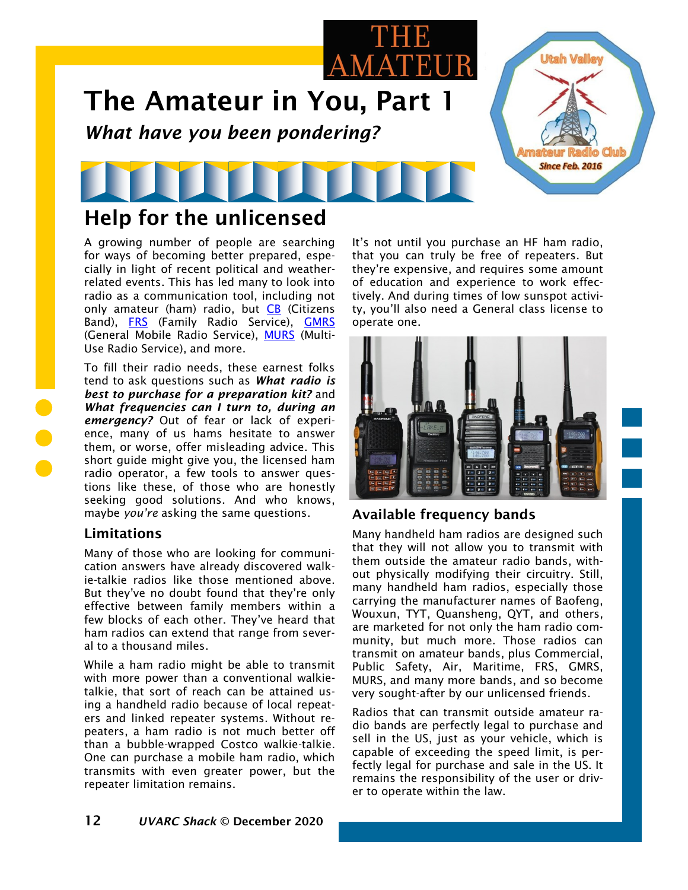

## Help for the unlicensed

A growing number of people are searching for ways of becoming better prepared, especially in light of recent political and weatherrelated events. This has led many to look into radio as a communication tool, including not only amateur (ham) radio, but  $CB$  (Citizens Band), [FRS](https://en.wikipedia.org/wiki/Family_Radio_Service) (Family Radio Service), [GMRS](https://en.wikipedia.org/wiki/Gmrs) (General Mobile Radio Service), [MURS](https://en.wikipedia.org/wiki/Multi-Use_Radio_Service) (Multi-Use Radio Service), and more.

To fill their radio needs, these earnest folks tend to ask questions such as *What radio is best to purchase for a preparation kit?* and *What frequencies can I turn to, during an emergency?* Out of fear or lack of experience, many of us hams hesitate to answer them, or worse, offer misleading advice. This short guide might give you, the licensed ham radio operator, a few tools to answer questions like these, of those who are honestly seeking good solutions. And who knows, maybe *you're* asking the same questions.

#### Limitations

Many of those who are looking for communication answers have already discovered walkie-talkie radios like those mentioned above. But they've no doubt found that they're only effective between family members within a few blocks of each other. They've heard that ham radios can extend that range from several to a thousand miles.

While a ham radio might be able to transmit with more power than a conventional walkietalkie, that sort of reach can be attained using a handheld radio because of local repeaters and linked repeater systems. Without repeaters, a ham radio is not much better off than a bubble-wrapped Costco walkie-talkie. One can purchase a mobile ham radio, which transmits with even greater power, but the repeater limitation remains.

It's not until you purchase an HF ham radio, that you can truly be free of repeaters. But they're expensive, and requires some amount of education and experience to work effectively. And during times of low sunspot activity, you'll also need a General class license to operate one.



### Available frequency bands

Many handheld ham radios are designed such that they will not allow you to transmit with them outside the amateur radio bands, without physically modifying their circuitry. Still, many handheld ham radios, especially those carrying the manufacturer names of Baofeng, Wouxun, TYT, Quansheng, QYT, and others, are marketed for not only the ham radio community, but much more. Those radios can transmit on amateur bands, plus Commercial, Public Safety, Air, Maritime, FRS, GMRS, MURS, and many more bands, and so become very sought-after by our unlicensed friends.

Radios that can transmit outside amateur radio bands are perfectly legal to purchase and sell in the US, just as your vehicle, which is capable of exceeding the speed limit, is perfectly legal for purchase and sale in the US. It remains the responsibility of the user or driver to operate within the law.